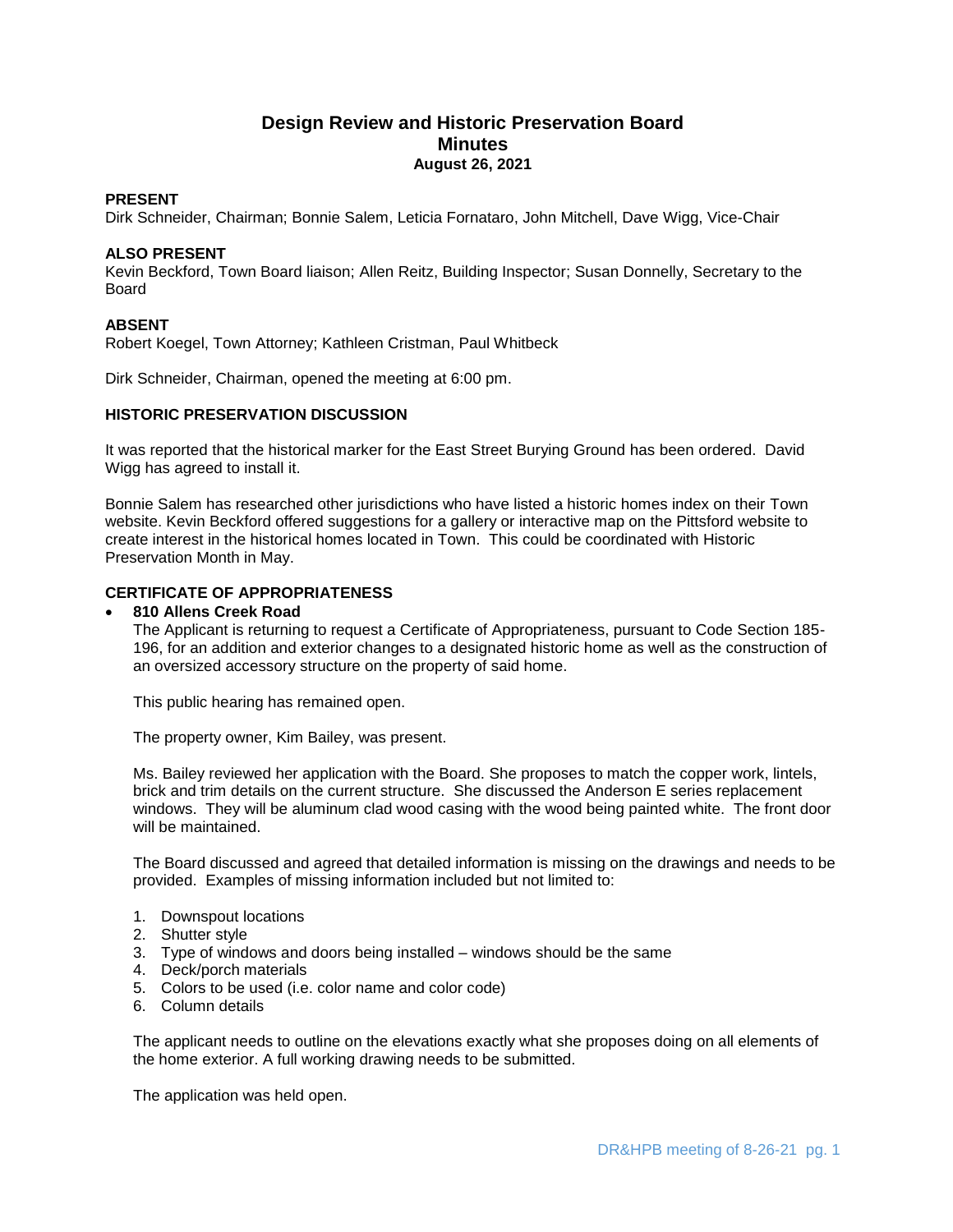# **Design Review and Historic Preservation Board Minutes August 26, 2021**

## **PRESENT**

Dirk Schneider, Chairman; Bonnie Salem, Leticia Fornataro, John Mitchell, Dave Wigg, Vice-Chair

# **ALSO PRESENT**

Kevin Beckford, Town Board liaison; Allen Reitz, Building Inspector; Susan Donnelly, Secretary to the Board

# **ABSENT**

Robert Koegel, Town Attorney; Kathleen Cristman, Paul Whitbeck

Dirk Schneider, Chairman, opened the meeting at 6:00 pm.

# **HISTORIC PRESERVATION DISCUSSION**

It was reported that the historical marker for the East Street Burying Ground has been ordered. David Wigg has agreed to install it.

Bonnie Salem has researched other jurisdictions who have listed a historic homes index on their Town website. Kevin Beckford offered suggestions for a gallery or interactive map on the Pittsford website to create interest in the historical homes located in Town. This could be coordinated with Historic Preservation Month in May.

# **CERTIFICATE OF APPROPRIATENESS**

### **810 Allens Creek Road**

The Applicant is returning to request a Certificate of Appropriateness, pursuant to Code Section 185- 196, for an addition and exterior changes to a designated historic home as well as the construction of an oversized accessory structure on the property of said home.

This public hearing has remained open.

The property owner, Kim Bailey, was present.

Ms. Bailey reviewed her application with the Board. She proposes to match the copper work, lintels, brick and trim details on the current structure. She discussed the Anderson E series replacement windows. They will be aluminum clad wood casing with the wood being painted white. The front door will be maintained.

The Board discussed and agreed that detailed information is missing on the drawings and needs to be provided. Examples of missing information included but not limited to:

- 1. Downspout locations
- 2. Shutter style
- 3. Type of windows and doors being installed windows should be the same
- 4. Deck/porch materials
- 5. Colors to be used (i.e. color name and color code)
- 6. Column details

The applicant needs to outline on the elevations exactly what she proposes doing on all elements of the home exterior. A full working drawing needs to be submitted.

The application was held open.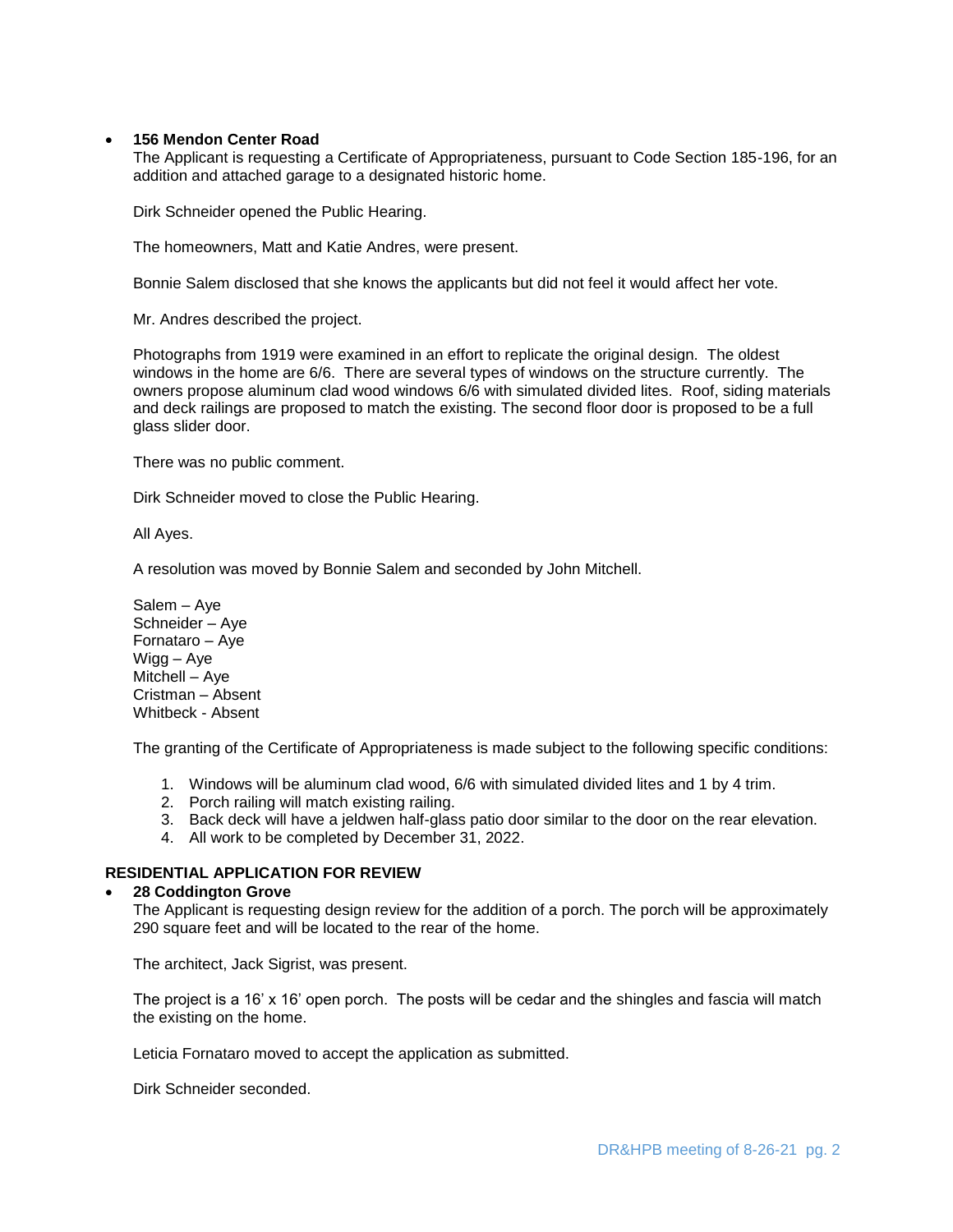### **156 Mendon Center Road**

The Applicant is requesting a Certificate of Appropriateness, pursuant to Code Section 185-196, for an addition and attached garage to a designated historic home.

Dirk Schneider opened the Public Hearing.

The homeowners, Matt and Katie Andres, were present.

Bonnie Salem disclosed that she knows the applicants but did not feel it would affect her vote.

Mr. Andres described the project.

Photographs from 1919 were examined in an effort to replicate the original design. The oldest windows in the home are 6/6. There are several types of windows on the structure currently. The owners propose aluminum clad wood windows 6/6 with simulated divided lites. Roof, siding materials and deck railings are proposed to match the existing. The second floor door is proposed to be a full glass slider door.

There was no public comment.

Dirk Schneider moved to close the Public Hearing.

All Ayes.

A resolution was moved by Bonnie Salem and seconded by John Mitchell.

Salem – Aye Schneider – Aye Fornataro – Aye Wigg – Aye Mitchell – Aye Cristman – Absent Whitbeck - Absent

The granting of the Certificate of Appropriateness is made subject to the following specific conditions:

- 1. Windows will be aluminum clad wood, 6/6 with simulated divided lites and 1 by 4 trim.
- 2. Porch railing will match existing railing.
- 3. Back deck will have a jeldwen half-glass patio door similar to the door on the rear elevation.
- 4. All work to be completed by December 31, 2022.

# **RESIDENTIAL APPLICATION FOR REVIEW**

#### **28 Coddington Grove**

The Applicant is requesting design review for the addition of a porch. The porch will be approximately 290 square feet and will be located to the rear of the home.

The architect, Jack Sigrist, was present.

The project is a 16' x 16' open porch. The posts will be cedar and the shingles and fascia will match the existing on the home.

Leticia Fornataro moved to accept the application as submitted.

Dirk Schneider seconded.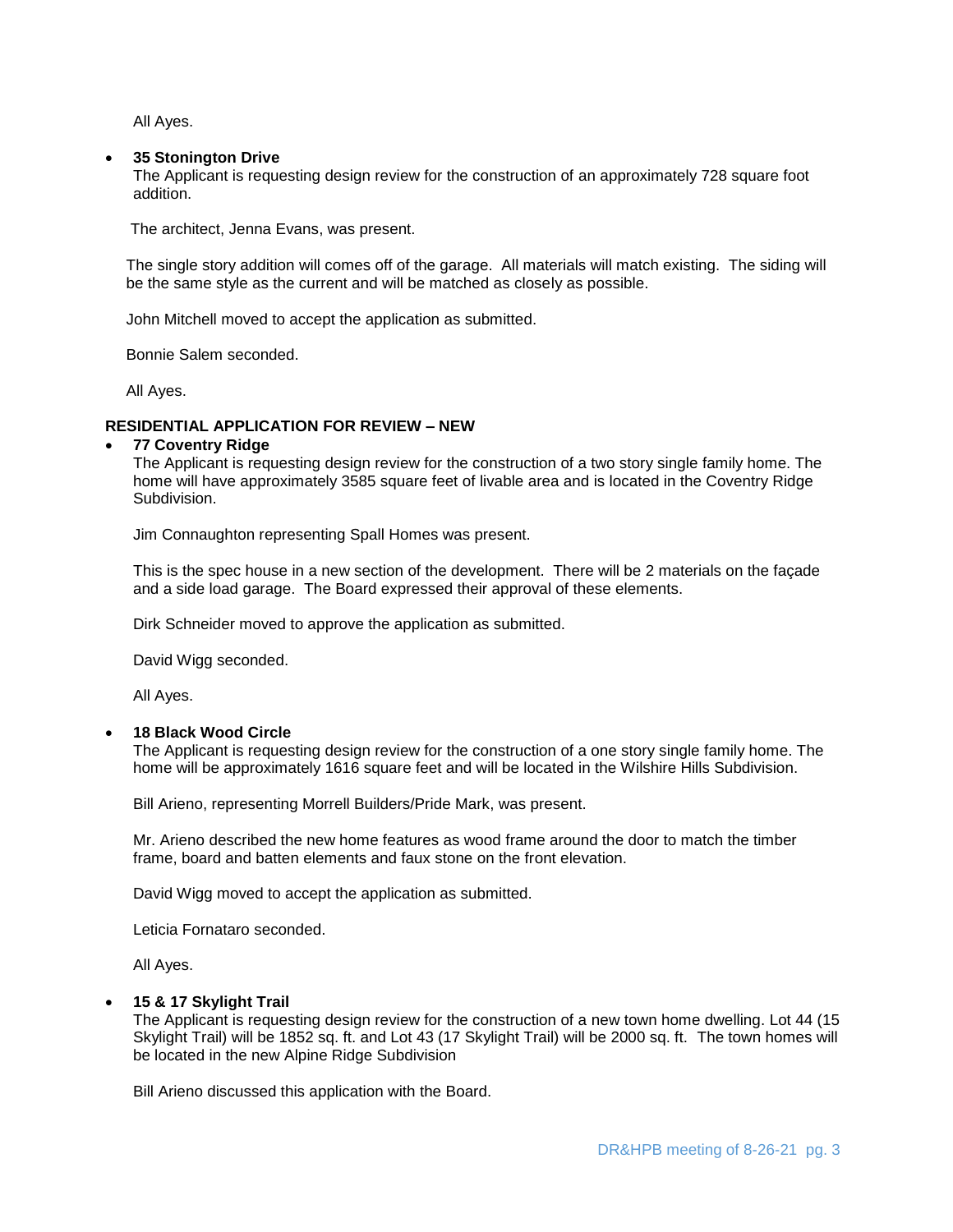All Ayes.

#### **35 Stonington Drive**

The Applicant is requesting design review for the construction of an approximately 728 square foot addition.

The architect, Jenna Evans, was present.

The single story addition will comes off of the garage. All materials will match existing. The siding will be the same style as the current and will be matched as closely as possible.

John Mitchell moved to accept the application as submitted.

Bonnie Salem seconded.

All Ayes.

#### **RESIDENTIAL APPLICATION FOR REVIEW – NEW**

#### **77 Coventry Ridge**

The Applicant is requesting design review for the construction of a two story single family home. The home will have approximately 3585 square feet of livable area and is located in the Coventry Ridge Subdivision.

Jim Connaughton representing Spall Homes was present.

This is the spec house in a new section of the development. There will be 2 materials on the façade and a side load garage. The Board expressed their approval of these elements.

Dirk Schneider moved to approve the application as submitted.

David Wigg seconded.

All Ayes.

#### **18 Black Wood Circle**

The Applicant is requesting design review for the construction of a one story single family home. The home will be approximately 1616 square feet and will be located in the Wilshire Hills Subdivision.

Bill Arieno, representing Morrell Builders/Pride Mark, was present.

Mr. Arieno described the new home features as wood frame around the door to match the timber frame, board and batten elements and faux stone on the front elevation.

David Wigg moved to accept the application as submitted.

Leticia Fornataro seconded.

All Ayes.

#### **15 & 17 Skylight Trail**

The Applicant is requesting design review for the construction of a new town home dwelling. Lot 44 (15 Skylight Trail) will be 1852 sq. ft. and Lot 43 (17 Skylight Trail) will be 2000 sq. ft. The town homes will be located in the new Alpine Ridge Subdivision

Bill Arieno discussed this application with the Board.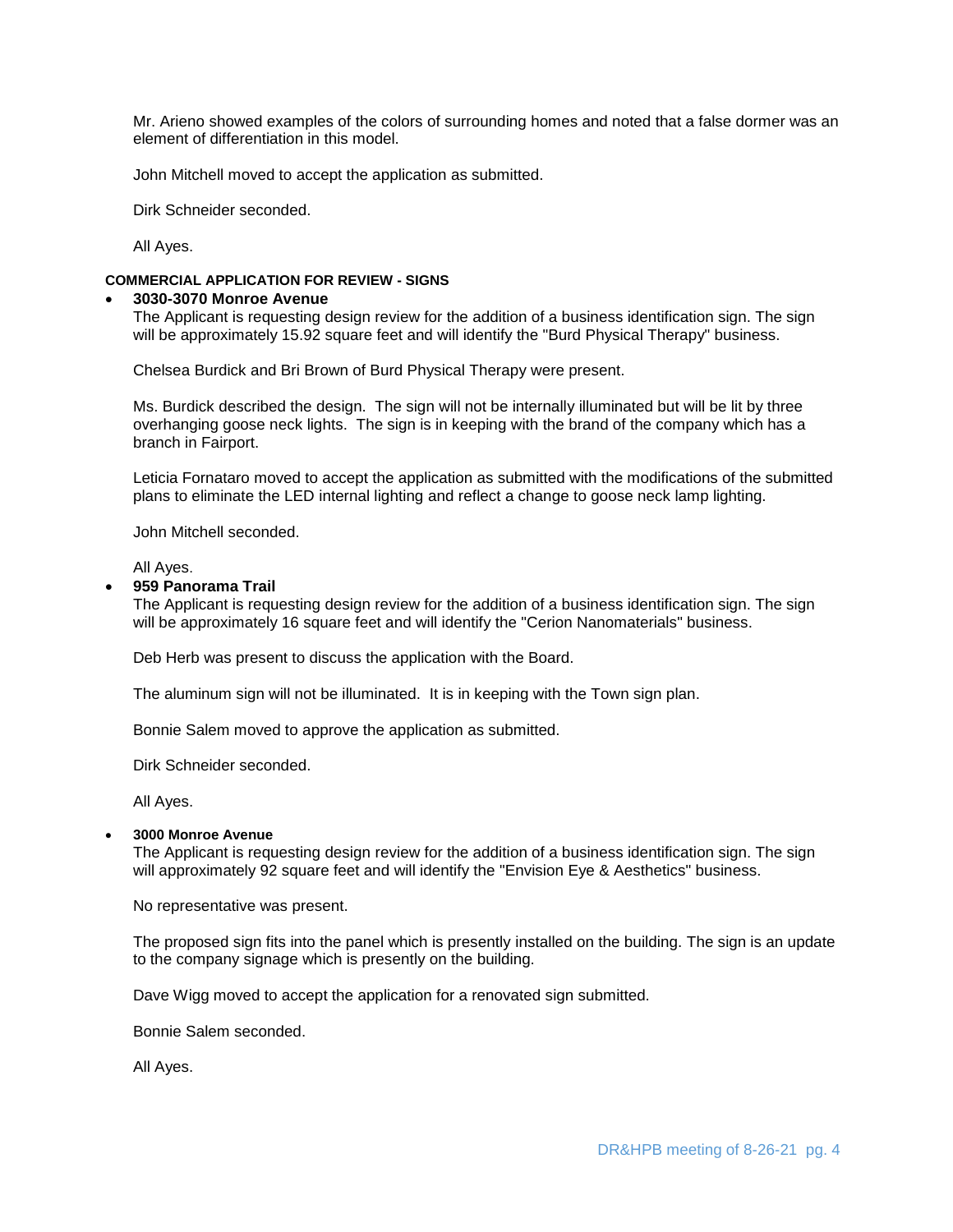Mr. Arieno showed examples of the colors of surrounding homes and noted that a false dormer was an element of differentiation in this model.

John Mitchell moved to accept the application as submitted.

Dirk Schneider seconded.

All Ayes.

### **COMMERCIAL APPLICATION FOR REVIEW - SIGNS**

# **3030-3070 Monroe Avenue**

The Applicant is requesting design review for the addition of a business identification sign. The sign will be approximately 15.92 square feet and will identify the "Burd Physical Therapy" business.

Chelsea Burdick and Bri Brown of Burd Physical Therapy were present.

Ms. Burdick described the design. The sign will not be internally illuminated but will be lit by three overhanging goose neck lights. The sign is in keeping with the brand of the company which has a branch in Fairport.

Leticia Fornataro moved to accept the application as submitted with the modifications of the submitted plans to eliminate the LED internal lighting and reflect a change to goose neck lamp lighting.

John Mitchell seconded.

All Ayes.

#### **959 Panorama Trail**

The Applicant is requesting design review for the addition of a business identification sign. The sign will be approximately 16 square feet and will identify the "Cerion Nanomaterials" business.

Deb Herb was present to discuss the application with the Board.

The aluminum sign will not be illuminated. It is in keeping with the Town sign plan.

Bonnie Salem moved to approve the application as submitted.

Dirk Schneider seconded.

All Ayes.

#### **3000 Monroe Avenue**

The Applicant is requesting design review for the addition of a business identification sign. The sign will approximately 92 square feet and will identify the "Envision Eye & Aesthetics" business.

No representative was present.

The proposed sign fits into the panel which is presently installed on the building. The sign is an update to the company signage which is presently on the building.

Dave Wigg moved to accept the application for a renovated sign submitted.

Bonnie Salem seconded.

All Ayes.